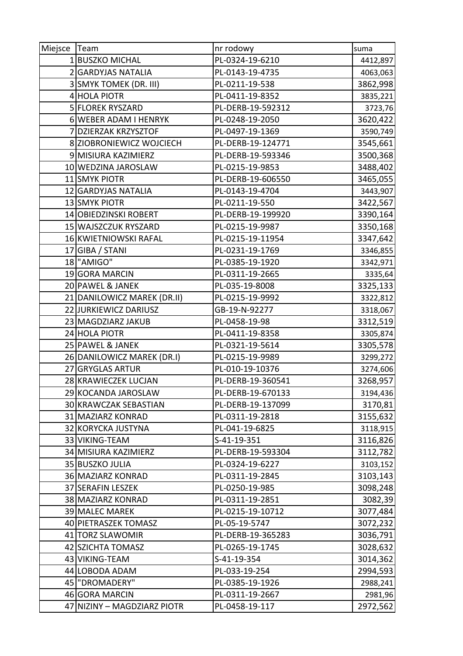| Miejsce Team |                             | nr rodowy         | suma     |
|--------------|-----------------------------|-------------------|----------|
|              | 1 BUSZKO MICHAL             | PL-0324-19-6210   | 4412,897 |
|              | 2 GARDYJAS NATALIA          | PL-0143-19-4735   | 4063,063 |
|              | 3 SMYK TOMEK (DR. III)      | PL-0211-19-538    | 3862,998 |
|              | 4 HOLA PIOTR                | PL-0411-19-8352   | 3835,221 |
|              | 5 FLOREK RYSZARD            | PL-DERB-19-592312 | 3723,76  |
|              | 6 WEBER ADAM I HENRYK       | PL-0248-19-2050   | 3620,422 |
|              | <b>DZIERZAK KRZYSZTOF</b>   | PL-0497-19-1369   | 3590,749 |
|              | 8 ZIOBRONIEWICZ WOJCIECH    | PL-DERB-19-124771 | 3545,661 |
|              | 9 MISIURA KAZIMIERZ         | PL-DERB-19-593346 | 3500,368 |
|              | 10 WEDZINA JAROSLAW         | PL-0215-19-9853   | 3488,402 |
|              | 11 SMYK PIOTR               | PL-DERB-19-606550 | 3465,055 |
|              | 12 GARDYJAS NATALIA         | PL-0143-19-4704   | 3443,907 |
|              | 13 SMYK PIOTR               | PL-0211-19-550    | 3422,567 |
|              | 14 OBIEDZINSKI ROBERT       | PL-DERB-19-199920 | 3390,164 |
|              | 15 WAJSZCZUK RYSZARD        | PL-0215-19-9987   | 3350,168 |
|              | 16 KWIETNIOWSKI RAFAL       | PL-0215-19-11954  | 3347,642 |
|              | 17 GIBA / STANI             | PL-0231-19-1769   | 3346,855 |
|              | 18 "AMIGO"                  | PL-0385-19-1920   | 3342,971 |
|              | 19 GORA MARCIN              | PL-0311-19-2665   | 3335,64  |
|              | 20 PAWEL & JANEK            | PL-035-19-8008    | 3325,133 |
|              | 21 DANILOWICZ MAREK (DR.II) | PL-0215-19-9992   | 3322,812 |
|              | 22 JURKIEWICZ DARIUSZ       | GB-19-N-92277     | 3318,067 |
|              | 23 MAGDZIARZ JAKUB          | PL-0458-19-98     | 3312,519 |
|              | 24 HOLA PIOTR               | PL-0411-19-8358   | 3305,874 |
|              | 25 PAWEL & JANEK            | PL-0321-19-5614   | 3305,578 |
|              | 26 DANILOWICZ MAREK (DR.I)  | PL-0215-19-9989   | 3299,272 |
|              | 27 GRYGLAS ARTUR            | PL-010-19-10376   | 3274,606 |
|              | 28 KRAWIECZEK LUCJAN        | PL-DERB-19-360541 | 3268,957 |
|              | 29 KOCANDA JAROSLAW         | PL-DERB-19-670133 | 3194,436 |
|              | 30 KRAWCZAK SEBASTIAN       | PL-DERB-19-137099 | 3170,81  |
|              | 31 MAZIARZ KONRAD           | PL-0311-19-2818   | 3155,632 |
|              | 32 KORYCKA JUSTYNA          | PL-041-19-6825    | 3118,915 |
|              | 33 VIKING-TEAM              | S-41-19-351       | 3116,826 |
|              | 34 MISIURA KAZIMIERZ        | PL-DERB-19-593304 | 3112,782 |
|              | 35 BUSZKO JULIA             | PL-0324-19-6227   | 3103,152 |
|              | 36 MAZIARZ KONRAD           | PL-0311-19-2845   | 3103,143 |
|              | 37 SERAFIN LESZEK           | PL-0250-19-985    | 3098,248 |
|              | 38 MAZIARZ KONRAD           | PL-0311-19-2851   | 3082,39  |
|              | 39 MALEC MAREK              | PL-0215-19-10712  | 3077,484 |
|              | 40 PIETRASZEK TOMASZ        | PL-05-19-5747     | 3072,232 |
|              | 41 TORZ SLAWOMIR            | PL-DERB-19-365283 | 3036,791 |
|              | 42 SZICHTA TOMASZ           | PL-0265-19-1745   | 3028,632 |
|              | 43 VIKING-TEAM              | S-41-19-354       | 3014,362 |
|              | 44 LOBODA ADAM              | PL-033-19-254     | 2994,593 |
|              | 45   "DROMADERY"            | PL-0385-19-1926   | 2988,241 |
|              | 46 GORA MARCIN              | PL-0311-19-2667   | 2981,96  |
|              | 47 NIZINY - MAGDZIARZ PIOTR | PL-0458-19-117    | 2972,562 |
|              |                             |                   |          |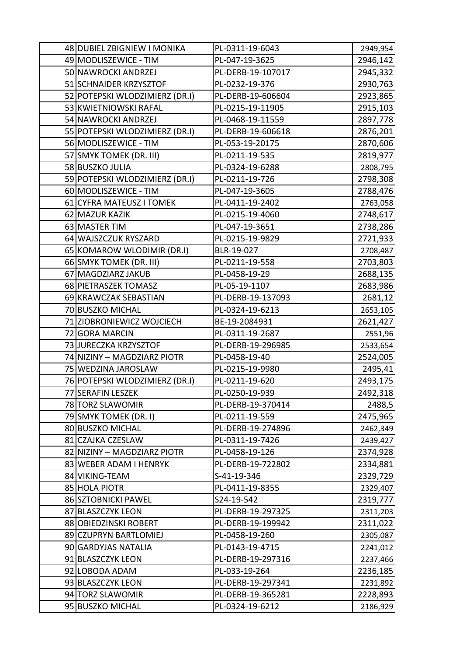| 48 DUBIEL ZBIGNIEW I MONIKA    | PL-0311-19-6043   | 2949,954 |
|--------------------------------|-------------------|----------|
| 49 MODLISZEWICE - TIM          | PL-047-19-3625    | 2946,142 |
| 50 NAWROCKI ANDRZEJ            | PL-DERB-19-107017 | 2945,332 |
| 51 SCHNAIDER KRZYSZTOF         | PL-0232-19-376    | 2930,763 |
| 52 POTEPSKI WLODZIMIERZ (DR.I) | PL-DERB-19-606604 | 2923,865 |
| 53 KWIETNIOWSKI RAFAL          | PL-0215-19-11905  | 2915,103 |
| 54 NAWROCKI ANDRZEJ            | PL-0468-19-11559  | 2897,778 |
| 55 POTEPSKI WLODZIMIERZ (DR.I) | PL-DERB-19-606618 | 2876,201 |
| 56 MODLISZEWICE - TIM          | PL-053-19-20175   | 2870,606 |
| 57 SMYK TOMEK (DR. III)        | PL-0211-19-535    | 2819,977 |
| 58 BUSZKO JULIA                | PL-0324-19-6288   | 2808,795 |
| 59 POTEPSKI WLODZIMIERZ (DR.I) | PL-0211-19-726    | 2798,308 |
| 60 MODLISZEWICE - TIM          | PL-047-19-3605    | 2788,476 |
| 61 CYFRA MATEUSZ I TOMEK       | PL-0411-19-2402   | 2763,058 |
| 62 MAZUR KAZIK                 | PL-0215-19-4060   | 2748,617 |
| 63 MASTER TIM                  | PL-047-19-3651    | 2738,286 |
| 64 WAJSZCZUK RYSZARD           | PL-0215-19-9829   | 2721,933 |
| 65 KOMAROW WLODIMIR (DR.I)     | BLR-19-027        | 2708,487 |
| 66 SMYK TOMEK (DR. III)        | PL-0211-19-558    | 2703,803 |
| 67 MAGDZIARZ JAKUB             | PL-0458-19-29     | 2688,135 |
| 68 PIETRASZEK TOMASZ           | PL-05-19-1107     | 2683,986 |
| 69 KRAWCZAK SEBASTIAN          | PL-DERB-19-137093 | 2681,12  |
| 70 BUSZKO MICHAL               | PL-0324-19-6213   | 2653,105 |
| 71 ZIOBRONIEWICZ WOJCIECH      | BE-19-2084931     | 2621,427 |
| 72 GORA MARCIN                 | PL-0311-19-2687   | 2551,96  |
| 73 JURECZKA KRZYSZTOF          | PL-DERB-19-296985 | 2533,654 |
| 74 NIZINY - MAGDZIARZ PIOTR    | PL-0458-19-40     | 2524,005 |
| 75 WEDZINA JAROSLAW            | PL-0215-19-9980   | 2495,41  |
| 76 POTEPSKI WLODZIMIERZ (DR.I) | PL-0211-19-620    | 2493,175 |
| 77 SERAFIN LESZEK              | PL-0250-19-939    | 2492,318 |
| 78 TORZ SLAWOMIR               | PL-DERB-19-370414 | 2488,5   |
| 79 SMYK TOMEK (DR. I)          | PL-0211-19-559    | 2475,965 |
| 80 BUSZKO MICHAL               | PL-DERB-19-274896 | 2462,349 |
| 81 CZAJKA CZESLAW              | PL-0311-19-7426   | 2439,427 |
| 82 NIZINY - MAGDZIARZ PIOTR    | PL-0458-19-126    | 2374,928 |
| 83 WEBER ADAM I HENRYK         | PL-DERB-19-722802 | 2334,881 |
| 84 VIKING-TEAM                 | S-41-19-346       | 2329,729 |
| 85 HOLA PIOTR                  | PL-0411-19-8355   | 2329,407 |
| 86 SZTOBNICKI PAWEL            | S24-19-542        | 2319,777 |
| 87 BLASZCZYK LEON              | PL-DERB-19-297325 | 2311,203 |
| 88 OBIEDZINSKI ROBERT          | PL-DERB-19-199942 | 2311,022 |
| 89 CZUPRYN BARTLOMIEJ          | PL-0458-19-260    | 2305,087 |
| 90 GARDYJAS NATALIA            | PL-0143-19-4715   | 2241,012 |
| 91 BLASZCZYK LEON              | PL-DERB-19-297316 | 2237,466 |
| 92 LOBODA ADAM                 | PL-033-19-264     | 2236,185 |
| 93 BLASZCZYK LEON              | PL-DERB-19-297341 | 2231,892 |
| 94 TORZ SLAWOMIR               | PL-DERB-19-365281 | 2228,893 |
| 95 BUSZKO MICHAL               | PL-0324-19-6212   | 2186,929 |